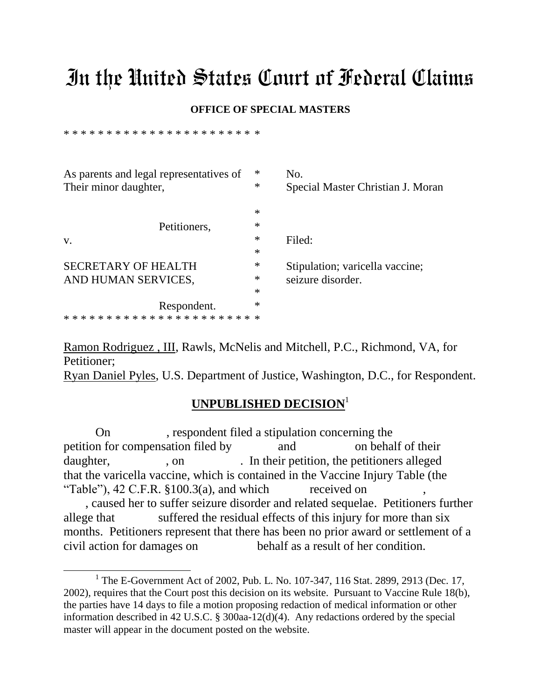## In the United States Court of Federal Claims

## **OFFICE OF SPECIAL MASTERS**

\* \* \* \* \* \* \* \* \* \* \* \* \* \* \* \* \* \* \* \* \* \* \*

 $\overline{a}$ 

| $\ast$ | No.                               |
|--------|-----------------------------------|
| $\ast$ | Special Master Christian J. Moran |
| ∗      |                                   |
| ∗      |                                   |
| ∗      | Filed:                            |
| ∗      |                                   |
| $\ast$ | Stipulation; varicella vaccine;   |
| ∗      | seizure disorder.                 |
| ∗      |                                   |
| ∗      |                                   |
|        |                                   |
|        |                                   |

Ramon Rodriguez , III, Rawls, McNelis and Mitchell, P.C., Richmond, VA, for Petitioner; Ryan Daniel Pyles, U.S. Department of Justice, Washington, D.C., for Respondent.

## **UNPUBLISHED DECISION**<sup>1</sup>

On , respondent filed a stipulation concerning the petition for compensation filed by and on behalf of their daughter, , on , on . In their petition, the petitioners alleged that the varicella vaccine, which is contained in the Vaccine Injury Table (the "Table"),  $42$  C.F.R.  $$100.3(a)$ , and which received on , caused her to suffer seizure disorder and related sequelae. Petitioners further allege that suffered the residual effects of this injury for more than six months. Petitioners represent that there has been no prior award or settlement of a

civil action for damages on behalf as a result of her condition.

<sup>&</sup>lt;sup>1</sup> The E-Government Act of 2002, Pub. L. No. 107-347, 116 Stat. 2899, 2913 (Dec. 17, 2002), requires that the Court post this decision on its website. Pursuant to Vaccine Rule 18(b), the parties have 14 days to file a motion proposing redaction of medical information or other information described in 42 U.S.C. § 300aa-12(d)(4). Any redactions ordered by the special master will appear in the document posted on the website.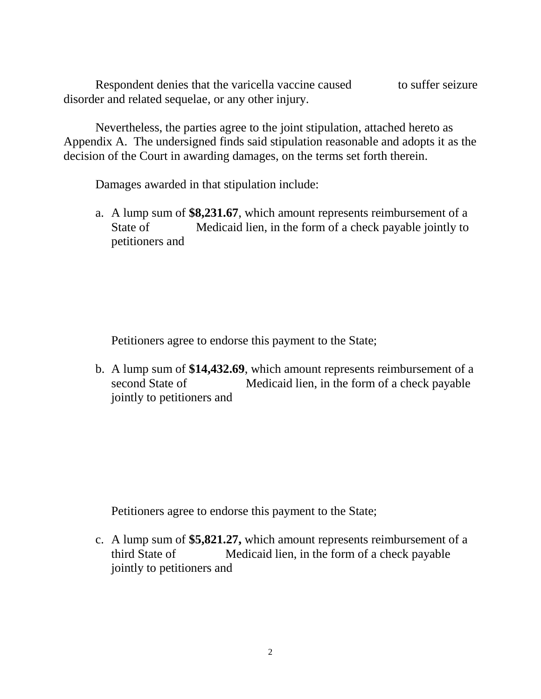Respondent denies that the varicella vaccine caused to suffer seizure disorder and related sequelae, or any other injury.

Nevertheless, the parties agree to the joint stipulation, attached hereto as Appendix A. The undersigned finds said stipulation reasonable and adopts it as the decision of the Court in awarding damages, on the terms set forth therein.

Damages awarded in that stipulation include:

a. A lump sum of **\$8,231.67**, which amount represents reimbursement of a State of Medicaid lien, in the form of a check payable jointly to petitioners and

Petitioners agree to endorse this payment to the State;

b. A lump sum of **\$14,432.69**, which amount represents reimbursement of a second State of Medicaid lien, in the form of a check payable jointly to petitioners and

Petitioners agree to endorse this payment to the State;

c. A lump sum of **\$5,821.27,** which amount represents reimbursement of a third State of Medicaid lien, in the form of a check payable jointly to petitioners and